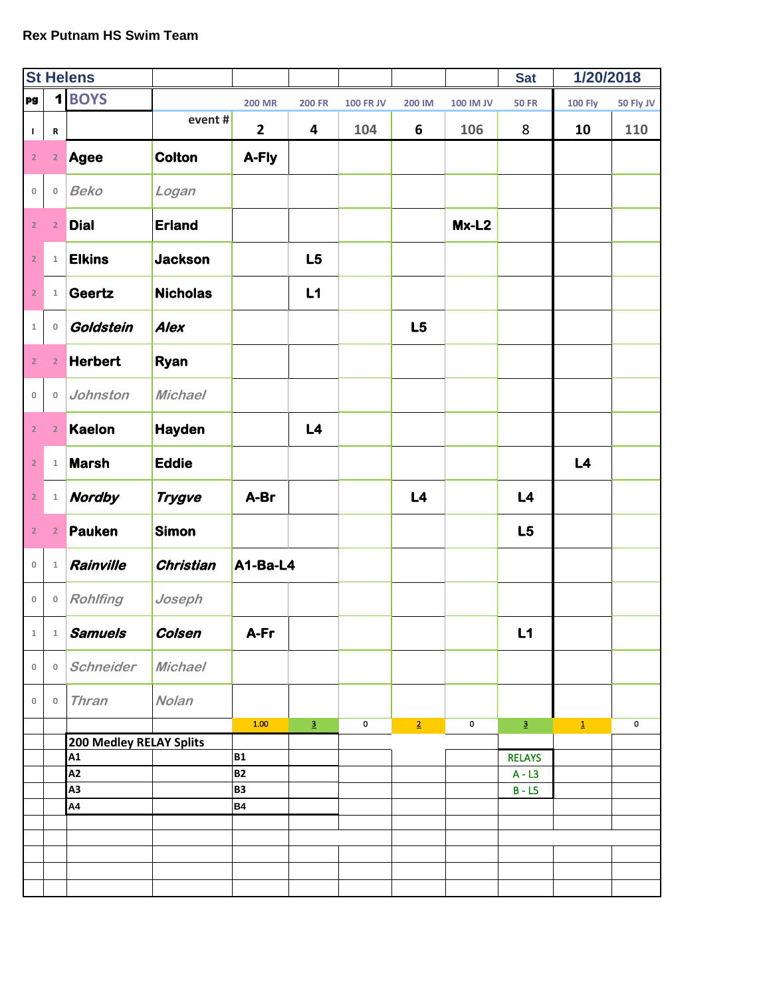|                         |                | <b>St Helens</b>        |                  |                |               |                  |                |                  | <b>Sat</b>      | 1/20/2018      |             |
|-------------------------|----------------|-------------------------|------------------|----------------|---------------|------------------|----------------|------------------|-----------------|----------------|-------------|
| pg                      | $\mathbf{1}$   | <b>BOYS</b>             |                  | <b>200 MR</b>  | <b>200 FR</b> | <b>100 FR JV</b> | 200 IM         | <b>100 IM JV</b> | <b>50 FR</b>    | <b>100 Fly</b> | 50 Fly JV   |
| $\mathbf{I}$            | $\, {\bf R}$   |                         | event#           | $\overline{2}$ | 4             | 104              | 6              | 106              | 8               | 10             | 110         |
| $\overline{2}$          | $\overline{2}$ | <b>Agee</b>             | <b>Colton</b>    | A-Fly          |               |                  |                |                  |                 |                |             |
| $\mathbf 0$             | $\mathbb O$    | <b>Beko</b>             | Logan            |                |               |                  |                |                  |                 |                |             |
| $\overline{\mathbf{2}}$ | $\overline{2}$ | <b>Dial</b>             | <b>Erland</b>    |                |               |                  |                | $Mx-L2$          |                 |                |             |
| $\overline{2}$          | $\,1\,$        | <b>Elkins</b>           | <b>Jackson</b>   |                | L5            |                  |                |                  |                 |                |             |
| $\overline{2}$          | $\mathbf 1$    | Geertz                  | <b>Nicholas</b>  |                | L1            |                  |                |                  |                 |                |             |
| $\mathbf 1$             | $\mathbb O$    | Goldstein               | <b>Alex</b>      |                |               |                  | L5             |                  |                 |                |             |
| $\mathbf 2$             | $\overline{2}$ | <b>Herbert</b>          | Ryan             |                |               |                  |                |                  |                 |                |             |
| $\,0\,$                 | $\mathbb O$    | Johnston                | <b>Michael</b>   |                |               |                  |                |                  |                 |                |             |
| $\mathbf{2}$            | $\overline{2}$ | <b>Kaelon</b>           | <b>Hayden</b>    |                | L4            |                  |                |                  |                 |                |             |
| $\overline{2}$          | $\,1\,$        | <b>Marsh</b>            | <b>Eddie</b>     |                |               |                  |                |                  |                 | L4             |             |
| $\overline{2}$          | $\,1\,$        | <b>Nordby</b>           | <b>Trygve</b>    | A-Br           |               |                  | L4             |                  | L4              |                |             |
| $\overline{2}$          | $\overline{2}$ | <b>Pauken</b>           | <b>Simon</b>     |                |               |                  |                |                  | L5              |                |             |
| $\mathbb O$             | $\mathbbm{1}$  | Rainville               | <b>Christian</b> | A1-Ba-L4       |               |                  |                |                  |                 |                |             |
| $\mathbb O$             | $\mathbb O$    | <b>Rohlfing</b>         | Joseph           |                |               |                  |                |                  |                 |                |             |
| 1                       | 1              | <b>Samuels</b>          | Colsen           | A-Fr           |               |                  |                |                  | L1              |                |             |
| $\mathsf{O}\xspace$     | $\circ$        | Schneider               | <b>Michael</b>   |                |               |                  |                |                  |                 |                |             |
| $\mathbf 0$             | $\mathbf 0$    | <b>Thran</b>            | <b>Nolan</b>     | 1.00           |               |                  |                |                  |                 |                | $\mathbf 0$ |
|                         |                | 200 Medley RELAY Splits |                  |                | $\mathbf{3}$  | 0                | $\overline{2}$ | $\mathbf 0$      | $\underline{3}$ | $\mathbf{1}$   |             |
|                         |                | A1                      |                  | <b>B1</b>      |               |                  |                |                  | <b>RELAYS</b>   |                |             |
|                         |                | A2                      |                  | <b>B2</b>      |               |                  |                |                  | $A - L3$        |                |             |
|                         |                | A3                      |                  | <b>B3</b>      |               |                  |                |                  | $B - LS$        |                |             |
|                         |                | A4                      |                  | <b>B4</b>      |               |                  |                |                  |                 |                |             |
|                         |                |                         |                  |                |               |                  |                |                  |                 |                |             |
|                         |                |                         |                  |                |               |                  |                |                  |                 |                |             |
|                         |                |                         |                  |                |               |                  |                |                  |                 |                |             |
|                         |                |                         |                  |                |               |                  |                |                  |                 |                |             |